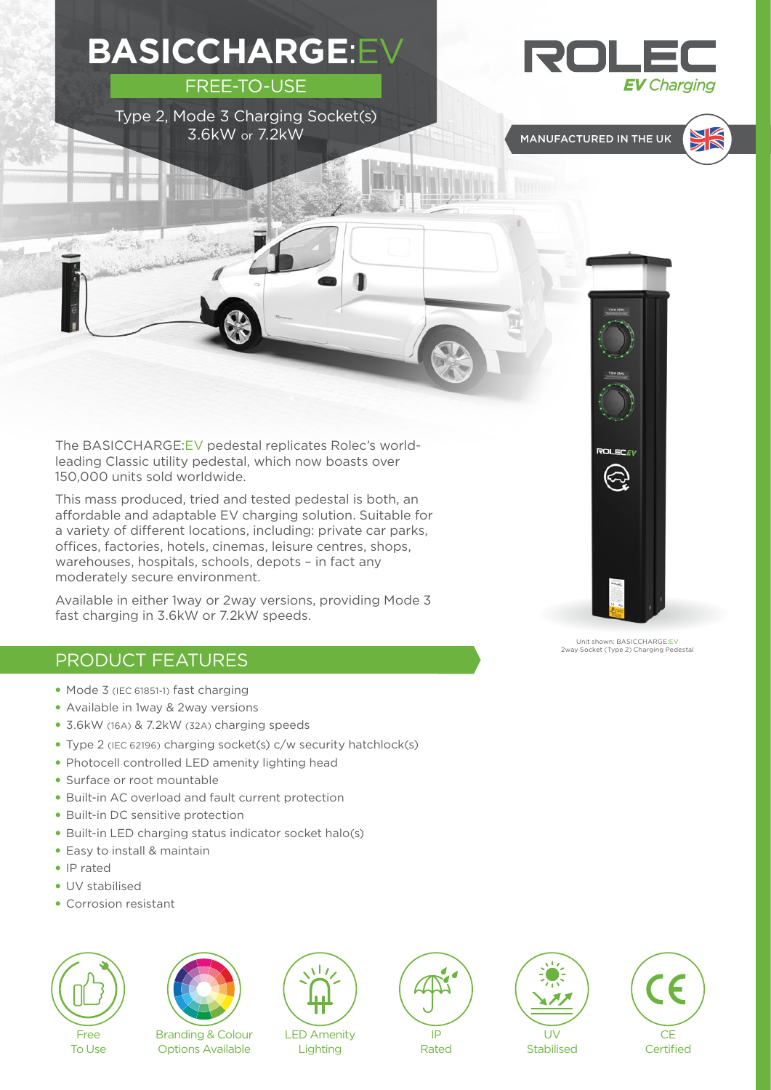**BASICCHARGE**:EV



FREE-TO-USE





The BASICCHARGE:EV pedestal replicates Rolec's worldleading Classic utility pedestal, which now boasts over 150,000 units sold worldwide.

This mass produced, tried and tested pedestal is both, an affordable and adaptable EV charging solution. Suitable for a variety of different locations, including: private car parks, offices, factories, hotels, cinemas, leisure centres, shops, warehouses, hospitals, schools, depots – in fact any moderately secure environment.

Available in either 1way or 2way versions, providing Mode 3 fast charging in 3.6kW or 7.2kW speeds.

## PRODUCT FEATURES

 $\mathcal{M}(\mathcal{P}_{\mathcal{M}}^{(1)},\mathcal{P}_{\mathcal{M}}^{(2)})$ 

- Mode 3 (IEC 61851-1) fast charging
- Available in 1way & 2way versions
- 3.6kW (16A) & 7.2kW (32A) charging speeds
- Type 2 (IEC 62196) charging socket(s) c/w security hatchlock(s)
- Photocell controlled LED amenity lighting head
- Surface or root mountable
- Built-in AC overload and fault current protection
- Built-in DC sensitive protection
- Built-in LED charging status indicator socket halo(s)
- Easy to install & maintain
- IP rated
- UV stabilised
- Corrosion resistant



To Use



Branding & Colour Options Available



Lighting



Rated

UV **Stabilised** 



Unit shown: BASICCHARGE:EV 2way Socket (Type 2) Charging Pedestal



**ROLEC**